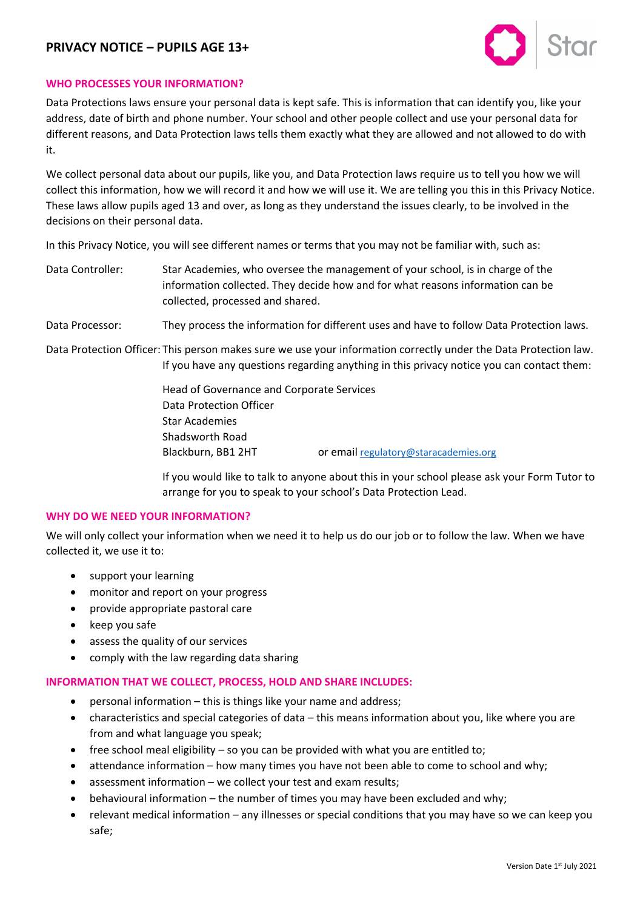# **PRIVACY NOTICE – PUPILS AGE 13+**



### **WHO PROCESSES YOUR INFORMATION?**

Data Protections laws ensure your personal data is kept safe. This is information that can identify you, like your address, date of birth and phone number. Your school and other people collect and use your personal data for different reasons, and Data Protection laws tells them exactly what they are allowed and not allowed to do with it.

We collect personal data about our pupils, like you, and Data Protection laws require us to tell you how we will collect this information, how we will record it and how we will use it. We are telling you this in this Privacy Notice. These laws allow pupils aged 13 and over, as long as they understand the issues clearly, to be involved in the decisions on their personal data.

In this Privacy Notice, you will see different names or terms that you may not be familiar with, such as:

Data Controller: Star Academies, who oversee the management of your school, is in charge of the information collected. They decide how and for what reasons information can be collected, processed and shared.

Data Processor: They process the information for different uses and have to follow Data Protection laws.

Data Protection Officer: This person makes sure we use your information correctly under the Data Protection law. If you have any questions regarding anything in this privacy notice you can contact them:

> Head of Governance and Corporate Services Data Protection Officer Star Academies Shadsworth Road Blackburn, BB1 2HT or emai[l regulatory@staracademies.org](mailto:regulatory@staracademies.org)

If you would like to talk to anyone about this in your school please ask your Form Tutor to arrange for you to speak to your school's Data Protection Lead.

## **WHY DO WE NEED YOUR INFORMATION?**

We will only collect your information when we need it to help us do our job or to follow the law. When we have collected it, we use it to:

- support your learning
- monitor and report on your progress
- provide appropriate pastoral care
- keep you safe
- assess the quality of our services
- comply with the law regarding data sharing

#### **INFORMATION THAT WE COLLECT, PROCESS, HOLD AND SHARE INCLUDES:**

- personal information this is things like your name and address;
- characteristics and special categories of data this means information about you, like where you are from and what language you speak;
- free school meal eligibility so you can be provided with what you are entitled to;
- attendance information how many times you have not been able to come to school and why;
- assessment information we collect your test and exam results;
- behavioural information the number of times you may have been excluded and why;
- relevant medical information any illnesses or special conditions that you may have so we can keep you safe;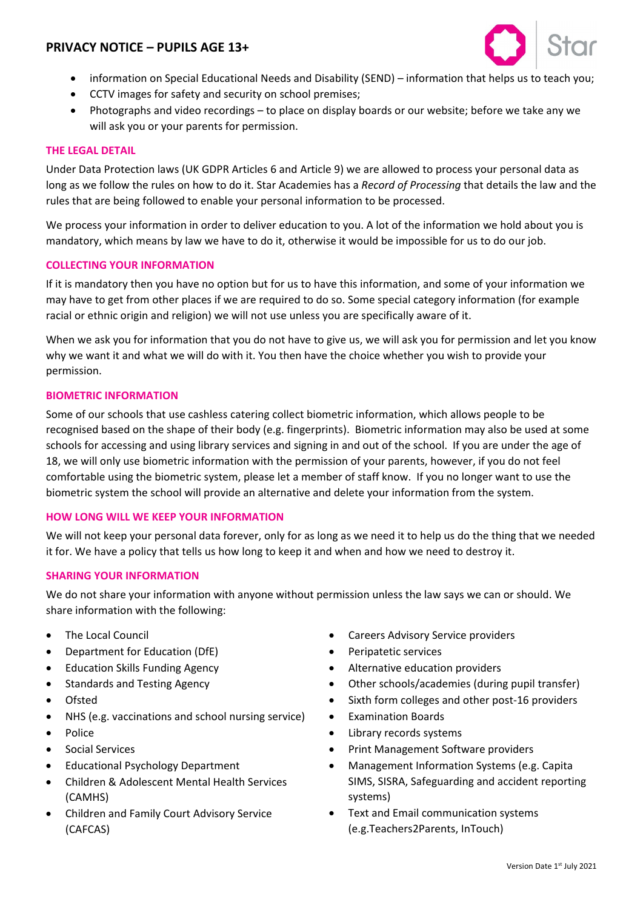# **PRIVACY NOTICE – PUPILS AGE 13+**



- information on Special Educational Needs and Disability (SEND) information that helps us to teach you;
- CCTV images for safety and security on school premises;
- Photographs and video recordings to place on display boards or our website; before we take any we will ask you or your parents for permission.

### **THE LEGAL DETAIL**

Under Data Protection laws (UK GDPR Articles 6 and Article 9) we are allowed to process your personal data as long as we follow the rules on how to do it. Star Academies has a *Record of Processing* that details the law and the rules that are being followed to enable your personal information to be processed.

We process your information in order to deliver education to you. A lot of the information we hold about you is mandatory, which means by law we have to do it, otherwise it would be impossible for us to do our job.

#### **COLLECTING YOUR INFORMATION**

If it is mandatory then you have no option but for us to have this information, and some of your information we may have to get from other places if we are required to do so. Some special category information (for example racial or ethnic origin and religion) we will not use unless you are specifically aware of it.

When we ask you for information that you do not have to give us, we will ask you for permission and let you know why we want it and what we will do with it. You then have the choice whether you wish to provide your permission.

#### **BIOMETRIC INFORMATION**

Some of our schools that use cashless catering collect biometric information, which allows people to be recognised based on the shape of their body (e.g. fingerprints). Biometric information may also be used at some schools for accessing and using library services and signing in and out of the school. If you are under the age of 18, we will only use biometric information with the permission of your parents, however, if you do not feel comfortable using the biometric system, please let a member of staff know. If you no longer want to use the biometric system the school will provide an alternative and delete your information from the system.

## **HOW LONG WILL WE KEEP YOUR INFORMATION**

We will not keep your personal data forever, only for as long as we need it to help us do the thing that we needed it for. We have a policy that tells us how long to keep it and when and how we need to destroy it.

#### **SHARING YOUR INFORMATION**

We do not share your information with anyone without permission unless the law says we can or should. We share information with the following:

- The Local Council
- Department for Education (DfE)
- Education Skills Funding Agency
- Standards and Testing Agency
- Ofsted
- NHS (e.g. vaccinations and school nursing service)
- Police
- Social Services
- Educational Psychology Department
- Children & Adolescent Mental Health Services (CAMHS)
- Children and Family Court Advisory Service (CAFCAS)
- Careers Advisory Service providers
- Peripatetic services
- Alternative education providers
- Other schools/academies (during pupil transfer)
- Sixth form colleges and other post-16 providers
- Examination Boards
- Library records systems
- Print Management Software providers
- Management Information Systems (e.g. Capita SIMS, SISRA, Safeguarding and accident reporting systems)
- Text and Email communication systems (e.g.Teachers2Parents, InTouch)